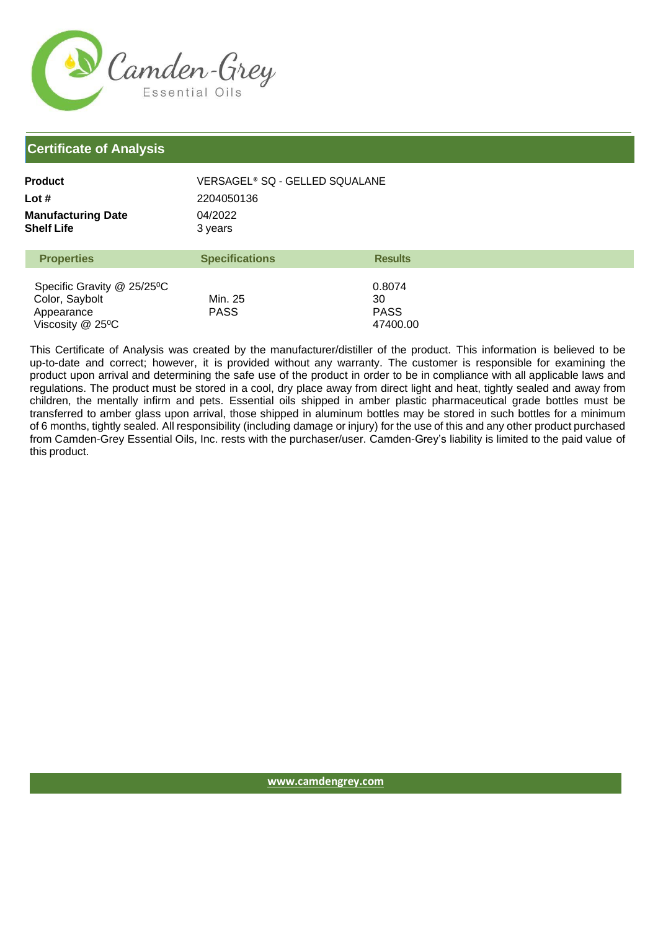

## **Certificate of Analysis**

| <b>Product</b>                          | VERSAGEL® SQ - GELLED SQUALANE |
|-----------------------------------------|--------------------------------|
| Lot #                                   | 2204050136                     |
| <b>Manufacturing Date</b><br>Shelf Life | 04/2022<br>3 years             |

| <b>Properties</b>                       | <b>Specifications</b> | <b>Results</b> |  |
|-----------------------------------------|-----------------------|----------------|--|
| Specific Gravity @ 25/25 <sup>°</sup> C |                       | 0.8074         |  |
| Color, Saybolt                          | Min. 25               | 30             |  |
| Appearance                              | <b>PASS</b>           | <b>PASS</b>    |  |
| Viscosity $@$ 25 <sup>o</sup> C         |                       | 47400.00       |  |

This Certificate of Analysis was created by the manufacturer/distiller of the product. This information is believed to be up-to-date and correct; however, it is provided without any warranty. The customer is responsible for examining the product upon arrival and determining the safe use of the product in order to be in compliance with all applicable laws and regulations. The product must be stored in a cool, dry place away from direct light and heat, tightly sealed and away from children, the mentally infirm and pets. Essential oils shipped in amber plastic pharmaceutical grade bottles must be transferred to amber glass upon arrival, those shipped in aluminum bottles may be stored in such bottles for a minimum of 6 months, tightly sealed. All responsibility (including damage or injury) for the use of this and any other product purchased from Camden-Grey Essential Oils, Inc. rests with the purchaser/user. Camden-Grey's liability is limited to the paid value of this product.